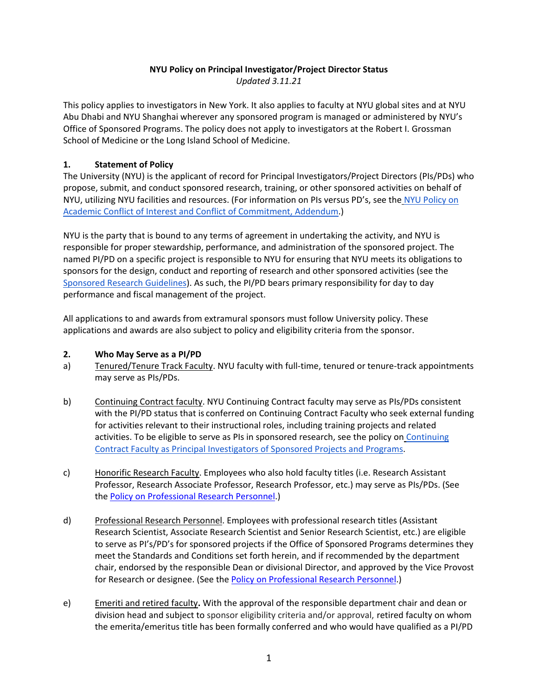# **NYU Policy on Principal Investigator/Project Director Status**

*Updated 3.11.21*

This policy applies to investigators in New York. It also applies to faculty at NYU global sites and at NYU Abu Dhabi and NYU Shanghai wherever any sponsored program is managed or administered by NYU's Office of Sponsored Programs. The policy does not apply to investigators at the Robert I. Grossman School of Medicine or the Long Island School of Medicine.

### **1. Statement of Policy**

The University (NYU) is the applicant of record for Principal Investigators/Project Directors (PIs/PDs) who propose, submit, and conduct sponsored research, training, or other sponsored activities on behalf of NYU, utilizing NYU facilities and resources. (For information on PIs versus PD's, see the [NYU Policy on](https://www.nyu.edu/about/policies-guidelines-compliance/policies-and-guidelines/academic-conflict-of-interest-and-conflict-of-commitment.html#exhibitb)  [Academic Conflict of Interest and Conflict of Commitment, Addendum.](https://www.nyu.edu/about/policies-guidelines-compliance/policies-and-guidelines/academic-conflict-of-interest-and-conflict-of-commitment.html#exhibitb))

NYU is the party that is bound to any terms of agreement in undertaking the activity, and NYU is responsible for proper stewardship, performance, and administration of the sponsored project. The named PI/PD on a specific project is responsible to NYU for ensuring that NYU meets its obligations to sponsors for the design, conduct and reporting of research and other sponsored activities (see th[e](https://www.nyu.edu/about/policies-guidelines-compliance/policies-and-guidelines/sponsored-research-guidelines.html) [Sponsored Research Guidelines\)](https://www.nyu.edu/about/policies-guidelines-compliance/policies-and-guidelines/sponsored-research-guidelines.html). As such, the PI/PD bears primary responsibility for day to day performance and fiscal management of the project.

All applications to and awards from extramural sponsors must follow University policy. These applications and awards are also subject to policy and eligibility criteria from the sponsor.

### **2. Who May Serve as a PI/PD**

- a) Tenured/Tenure Track Faculty. NYU faculty with full-time, tenured or tenure-track appointments may serve as PIs/PDs.
- b) Continuing Contract faculty. NYU Continuing Contract faculty may serve as PIs/PDs consistent with the PI/PD status that is conferred on Continuing Contract Faculty who seek external funding for activities relevant to their instructional roles, including training projects and related activities. To be eligible to serve as PIs in sponsored research, see the policy on Continuing [Contract Faculty as Principal Investigators of Sponsored Projects and Programs.](https://www.nyu.edu/about/policies-guidelines-compliance/policies-and-guidelines/continuing-contract-faculty-as-principal-investigators-of-sponso.html)
- c) Honorific Research Faculty. Employees who also hold faculty titles (i.e. Research Assistant Professor, Research Associate Professor, Research Professor, etc.) may serve as PIs/PDs. (See the [Policy on Professional Research Personnel.](https://www.nyu.edu/about/policies-guidelines-compliance/policies-and-guidelines/procedures-for-granting-project-directorprincipal-investigator-status-to-code-103-professional-research-personnel.html))
- d) Professional Research Personnel. Employees with professional research titles (Assistant Research Scientist, Associate Research Scientist and Senior Research Scientist, etc.) are eligible to serve as PI's/PD's for sponsored projects if the Office of Sponsored Programs determines they meet the Standards and Conditions set forth herein, and if recommended by the department chair, endorsed by the responsible Dean or divisional Director, and approved by the Vice Provost for Research or designee. (See the [Policy on Professional Research Personnel.](https://www.nyu.edu/about/policies-guidelines-compliance/policies-and-guidelines/procedures-for-granting-project-directorprincipal-investigator-status-to-code-103-professional-research-personnel.html))
- e) Emeriti and retired faculty**.** With the approval of the responsible department chair and dean or division head and subject to sponsor eligibility criteria and/or approval, retired faculty on whom the emerita/emeritus title has been formally conferred and who would have qualified as a PI/PD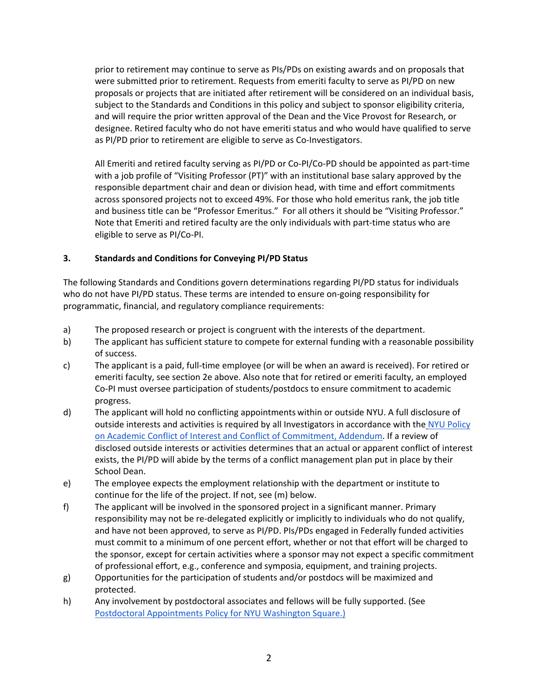prior to retirement may continue to serve as PIs/PDs on existing awards and on proposals that were submitted prior to retirement. Requests from emeriti faculty to serve as PI/PD on new proposals or projects that are initiated after retirement will be considered on an individual basis, subject to the Standards and Conditions in this policy and subject to sponsor eligibility criteria, and will require the prior written approval of the Dean and the Vice Provost for Research, or designee. Retired faculty who do not have emeriti status and who would have qualified to serve as PI/PD prior to retirement are eligible to serve as Co-Investigators.

All Emeriti and retired faculty serving as PI/PD or Co-PI/Co-PD should be appointed as part-time with a job profile of "Visiting Professor (PT)" with an institutional base salary approved by the responsible department chair and dean or division head, with time and effort commitments across sponsored projects not to exceed 49%. For those who hold emeritus rank, the job title and business title can be "Professor Emeritus." For all others it should be "Visiting Professor." Note that Emeriti and retired faculty are the only individuals with part-time status who are eligible to serve as PI/Co-PI.

## **3. Standards and Conditions for Conveying PI/PD Status**

The following Standards and Conditions govern determinations regarding PI/PD status for individuals who do not have PI/PD status. These terms are intended to ensure on-going responsibility for programmatic, financial, and regulatory compliance requirements:

- a) The proposed research or project is congruent with the interests of the department.
- b) The applicant has sufficient stature to compete for external funding with a reasonable possibility of success.
- c) The applicant is a paid, full-time employee (or will be when an award is received). For retired or emeriti faculty, see section 2e above. Also note that for retired or emeriti faculty, an employed Co-PI must oversee participation of students/postdocs to ensure commitment to academic progress.
- d) The applicant will hold no conflicting appointments within or outside NYU. A full disclosure of outside interests and activities is required by all Investigators in accordance with the [NYU Policy](https://www.nyu.edu/about/policies-guidelines-compliance/policies-and-guidelines/academic-conflict-of-interest-and-conflict-of-commitment.html#exhibitb)  [on Academic Conflict of Interest and Conflict of Commitment, Addendum.](https://www.nyu.edu/about/policies-guidelines-compliance/policies-and-guidelines/academic-conflict-of-interest-and-conflict-of-commitment.html#exhibitb) If a review of disclosed outside interests or activities determines that an actual or apparent conflict of interest exists, the PI/PD will abide by the terms of a conflict management plan put in place by their School Dean.
- e) The employee expects the employment relationship with the department or institute to continue for the life of the project. If not, see (m) below.
- f) The applicant will be involved in the sponsored project in a significant manner. Primary responsibility may not be re-delegated explicitly or implicitly to individuals who do not qualify, and have not been approved, to serve as PI/PD. PIs/PDs engaged in Federally funded activities must commit to a minimum of one percent effort, whether or not that effort will be charged to the sponsor, except for certain activities where a sponsor may not expect a specific commitment of professional effort, e.g., conference and symposia, equipment, and training projects.
- g) Opportunities for the participation of students and/or postdocs will be maximized and protected.
- h) Any involvement by postdoctoral associates and fellows will be fully supported. (Se[e](https://www.nyu.edu/about/policies-guidelines-compliance/policies-and-guidelines/postdoctoral-appointments-policy-for-nyu-washington-square.html) [Postdoctoral Appointments Policy for NYU Washington Square.\)](https://www.nyu.edu/about/policies-guidelines-compliance/policies-and-guidelines/postdoctoral-appointments-policy-for-nyu-washington-square.html)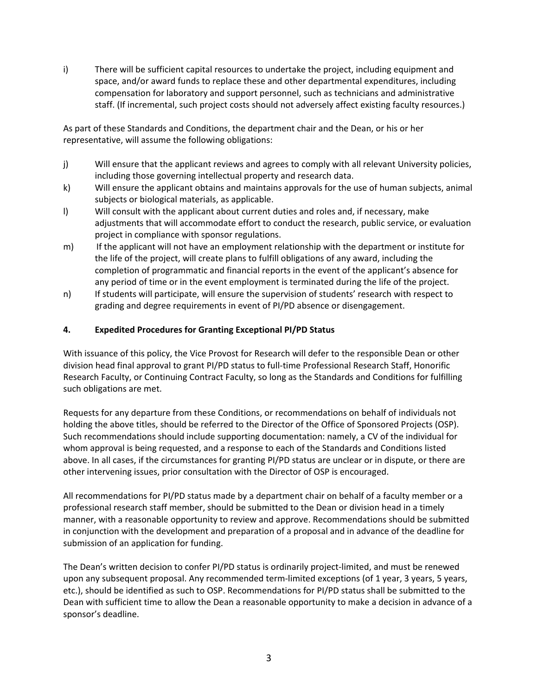i) There will be sufficient capital resources to undertake the project, including equipment and space, and/or award funds to replace these and other departmental expenditures, including compensation for laboratory and support personnel, such as technicians and administrative staff. (If incremental, such project costs should not adversely affect existing faculty resources.)

As part of these Standards and Conditions, the department chair and the Dean, or his or her representative, will assume the following obligations:

- j) Will ensure that the applicant reviews and agrees to comply with all relevant University policies, including those governing intellectual property and research data.
- k) Will ensure the applicant obtains and maintains approvals for the use of human subjects, animal subjects or biological materials, as applicable.
- l) Will consult with the applicant about current duties and roles and, if necessary, make adjustments that will accommodate effort to conduct the research, public service, or evaluation project in compliance with sponsor regulations.
- m) If the applicant will not have an employment relationship with the department or institute for the life of the project, will create plans to fulfill obligations of any award, including the completion of programmatic and financial reports in the event of the applicant's absence for any period of time or in the event employment is terminated during the life of the project.
- n) If students will participate, will ensure the supervision of students' research with respect to grading and degree requirements in event of PI/PD absence or disengagement.

# **4. Expedited Procedures for Granting Exceptional PI/PD Status**

With issuance of this policy, the Vice Provost for Research will defer to the responsible Dean or other division head final approval to grant PI/PD status to full-time Professional Research Staff, Honorific Research Faculty, or Continuing Contract Faculty, so long as the Standards and Conditions for fulfilling such obligations are met.

Requests for any departure from these Conditions, or recommendations on behalf of individuals not holding the above titles, should be referred to the Director of the Office of Sponsored Projects (OSP). Such recommendations should include supporting documentation: namely, a CV of the individual for whom approval is being requested, and a response to each of the Standards and Conditions listed above. In all cases, if the circumstances for granting PI/PD status are unclear or in dispute, or there are other intervening issues, prior consultation with the Director of OSP is encouraged.

All recommendations for PI/PD status made by a department chair on behalf of a faculty member or a professional research staff member, should be submitted to the Dean or division head in a timely manner, with a reasonable opportunity to review and approve. Recommendations should be submitted in conjunction with the development and preparation of a proposal and in advance of the deadline for submission of an application for funding.

The Dean's written decision to confer PI/PD status is ordinarily project-limited, and must be renewed upon any subsequent proposal. Any recommended term-limited exceptions (of 1 year, 3 years, 5 years, etc.), should be identified as such to OSP. Recommendations for PI/PD status shall be submitted to the Dean with sufficient time to allow the Dean a reasonable opportunity to make a decision in advance of a sponsor's deadline.